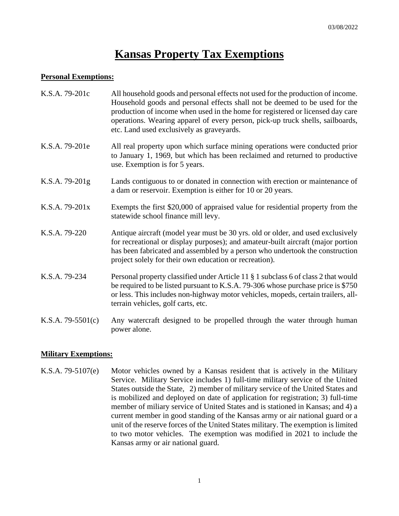# **Kansas Property Tax Exemptions**

### **Personal Exemptions:**

| K.S.A. 79-201c      | All household goods and personal effects not used for the production of income.<br>Household goods and personal effects shall not be deemed to be used for the<br>production of income when used in the home for registered or licensed day care<br>operations. Wearing apparel of every person, pick-up truck shells, sailboards,<br>etc. Land used exclusively as graveyards. |
|---------------------|---------------------------------------------------------------------------------------------------------------------------------------------------------------------------------------------------------------------------------------------------------------------------------------------------------------------------------------------------------------------------------|
| K.S.A. 79-201e      | All real property upon which surface mining operations were conducted prior<br>to January 1, 1969, but which has been reclaimed and returned to productive<br>use. Exemption is for 5 years.                                                                                                                                                                                    |
| K.S.A. 79-201g      | Lands contiguous to or donated in connection with erection or maintenance of<br>a dam or reservoir. Exemption is either for 10 or 20 years.                                                                                                                                                                                                                                     |
| K.S.A. 79-201x      | Exempts the first \$20,000 of appraised value for residential property from the<br>statewide school finance mill levy.                                                                                                                                                                                                                                                          |
| K.S.A. 79-220       | Antique aircraft (model year must be 30 yrs. old or older, and used exclusively<br>for recreational or display purposes); and amateur-built aircraft (major portion<br>has been fabricated and assembled by a person who undertook the construction<br>project solely for their own education or recreation).                                                                   |
| K.S.A. 79-234       | Personal property classified under Article 11 § 1 subclass 6 of class 2 that would<br>be required to be listed pursuant to K.S.A. 79-306 whose purchase price is \$750<br>or less. This includes non-highway motor vehicles, mopeds, certain trailers, all-<br>terrain vehicles, golf carts, etc.                                                                               |
| K.S.A. $79-5501(c)$ | Any watercraft designed to be propelled through the water through human<br>power alone.                                                                                                                                                                                                                                                                                         |

# **Military Exemptions:**

K.S.A. 79-5107(e) Motor vehicles owned by a Kansas resident that is actively in the Military Service. Military Service includes 1) full-time military service of the United States outside the State, 2) member of military service of the United States and is mobilized and deployed on date of application for registration; 3) full-time member of miliary service of United States and is stationed in Kansas; and 4) a current member in good standing of the Kansas army or air national guard or a unit of the reserve forces of the United States military. The exemption is limited to two motor vehicles. The exemption was modified in 2021 to include the Kansas army or air national guard.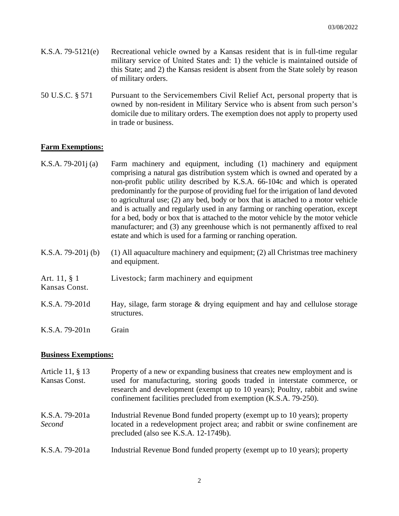- K.S.A. 79-5121(e) Recreational vehicle owned by a Kansas resident that is in full-time regular military service of United States and: 1) the vehicle is maintained outside of this State; and 2) the Kansas resident is absent from the State solely by reason of military orders.
- 50 U.S.C. § 571 Pursuant to the Servicemembers Civil Relief Act, personal property that is owned by non-resident in Military Service who is absent from such person's domicile due to military orders. The exemption does not apply to property used in trade or business.

## **Farm Exemptions:**

- K.S.A. 79-201j (a) Farm machinery and equipment, including (1) machinery and equipment comprising a natural gas distribution system which is owned and operated by a non-profit public utility described by K.S.A. 66-104c and which is operated predominantly for the purpose of providing fuel for the irrigation of land devoted to agricultural use; (2) any bed, body or box that is attached to a motor vehicle and is actually and regularly used in any farming or ranching operation, except for a bed, body or box that is attached to the motor vehicle by the motor vehicle manufacturer; and (3) any greenhouse which is not permanently affixed to real estate and which is used for a farming or ranching operation.
- K.S.A. 79-201<sub>1</sub> (b) (1) All aquaculture machinery and equipment; (2) all Christmas tree machinery and equipment.
- Art. 11, § 1 Livestock; farm machinery and equipment
- K.S.A. 79-201d Hay, silage, farm storage & drying equipment and hay and cellulose storage structures.
- K.S.A. 79-201n Grain

#### **Business Exemptions:**

Kansas Const.

| Article 11, § 13<br>Kansas Const. | Property of a new or expanding business that creates new employment and is<br>used for manufacturing, storing goods traded in interstate commerce, or<br>research and development (exempt up to 10 years); Poultry, rabbit and swine<br>confinement facilities precluded from exemption (K.S.A. 79-250). |
|-----------------------------------|----------------------------------------------------------------------------------------------------------------------------------------------------------------------------------------------------------------------------------------------------------------------------------------------------------|
| K.S.A. 79-201a<br>Second          | Industrial Revenue Bond funded property (exempt up to 10 years); property<br>located in a redevelopment project area; and rabbit or swine confinement are<br>precluded (also see K.S.A. 12-1749b).                                                                                                       |
| K.S.A. 79-201a                    | Industrial Revenue Bond funded property (exempt up to 10 years); property                                                                                                                                                                                                                                |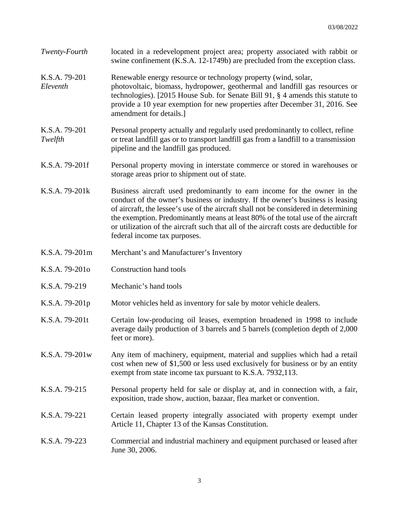| Twenty-Fourth             | located in a redevelopment project area; property associated with rabbit or<br>swine confinement (K.S.A. 12-1749b) are precluded from the exception class.                                                                                                                                                                                                                                                                                                       |
|---------------------------|------------------------------------------------------------------------------------------------------------------------------------------------------------------------------------------------------------------------------------------------------------------------------------------------------------------------------------------------------------------------------------------------------------------------------------------------------------------|
| K.S.A. 79-201<br>Eleventh | Renewable energy resource or technology property (wind, solar,<br>photovoltaic, biomass, hydropower, geothermal and landfill gas resources or<br>technologies). [2015 House Sub. for Senate Bill 91, § 4 amends this statute to<br>provide a 10 year exemption for new properties after December 31, 2016. See<br>amendment for details.]                                                                                                                        |
| K.S.A. 79-201<br>Twelfth  | Personal property actually and regularly used predominantly to collect, refine<br>or treat landfill gas or to transport landfill gas from a landfill to a transmission<br>pipeline and the landfill gas produced.                                                                                                                                                                                                                                                |
| K.S.A. 79-201f            | Personal property moving in interstate commerce or stored in warehouses or<br>storage areas prior to shipment out of state.                                                                                                                                                                                                                                                                                                                                      |
| K.S.A. 79-201k            | Business aircraft used predominantly to earn income for the owner in the<br>conduct of the owner's business or industry. If the owner's business is leasing<br>of aircraft, the lessee's use of the aircraft shall not be considered in determining<br>the exemption. Predominantly means at least 80% of the total use of the aircraft<br>or utilization of the aircraft such that all of the aircraft costs are deductible for<br>federal income tax purposes. |
| K.S.A. 79-201m            | Merchant's and Manufacturer's Inventory                                                                                                                                                                                                                                                                                                                                                                                                                          |
| K.S.A. 79-2010            | <b>Construction hand tools</b>                                                                                                                                                                                                                                                                                                                                                                                                                                   |
| K.S.A. 79-219             | Mechanic's hand tools                                                                                                                                                                                                                                                                                                                                                                                                                                            |
| K.S.A. 79-201p            | Motor vehicles held as inventory for sale by motor vehicle dealers.                                                                                                                                                                                                                                                                                                                                                                                              |
| K.S.A. 79-201t            | Certain low-producing oil leases, exemption broadened in 1998 to include<br>average daily production of 3 barrels and 5 barrels (completion depth of 2,000<br>feet or more).                                                                                                                                                                                                                                                                                     |
| K.S.A. 79-201w            | Any item of machinery, equipment, material and supplies which had a retail<br>cost when new of \$1,500 or less used exclusively for business or by an entity<br>exempt from state income tax pursuant to K.S.A. 7932,113.                                                                                                                                                                                                                                        |
| K.S.A. 79-215             | Personal property held for sale or display at, and in connection with, a fair,<br>exposition, trade show, auction, bazaar, flea market or convention.                                                                                                                                                                                                                                                                                                            |
| K.S.A. 79-221             | Certain leased property integrally associated with property exempt under<br>Article 11, Chapter 13 of the Kansas Constitution.                                                                                                                                                                                                                                                                                                                                   |
| K.S.A. 79-223             | Commercial and industrial machinery and equipment purchased or leased after<br>June 30, 2006.                                                                                                                                                                                                                                                                                                                                                                    |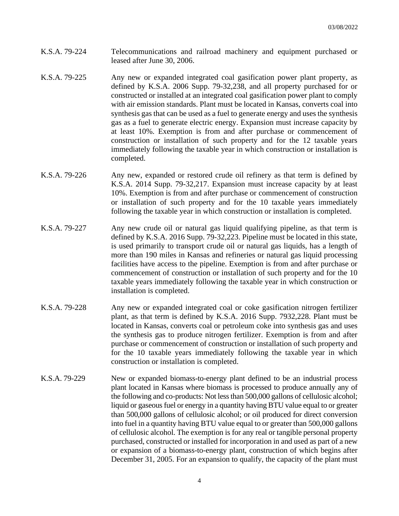- K.S.A. 79-224 Telecommunications and railroad machinery and equipment purchased or leased after June 30, 2006.
- K.S.A. 79-225 Any new or expanded integrated coal gasification power plant property, as defined by K.S.A. 2006 Supp. 79-32,238, and all property purchased for or constructed or installed at an integrated coal gasification power plant to comply with air emission standards. Plant must be located in Kansas, converts coal into synthesis gas that can be used as a fuel to generate energy and uses the synthesis gas as a fuel to generate electric energy. Expansion must increase capacity by at least 10%. Exemption is from and after purchase or commencement of construction or installation of such property and for the 12 taxable years immediately following the taxable year in which construction or installation is completed.
- K.S.A. 79-226 Any new, expanded or restored crude oil refinery as that term is defined by K.S.A. 2014 Supp. 79-32,217. Expansion must increase capacity by at least 10%. Exemption is from and after purchase or commencement of construction or installation of such property and for the 10 taxable years immediately following the taxable year in which construction or installation is completed.
- K.S.A. 79-227 Any new crude oil or natural gas liquid qualifying pipeline, as that term is defined by K.S.A. 2016 Supp. 79-32,223. Pipeline must be located in this state, is used primarily to transport crude oil or natural gas liquids, has a length of more than 190 miles in Kansas and refineries or natural gas liquid processing facilities have access to the pipeline. Exemption is from and after purchase or commencement of construction or installation of such property and for the 10 taxable years immediately following the taxable year in which construction or installation is completed.
- K.S.A. 79-228 Any new or expanded integrated coal or coke gasification nitrogen fertilizer plant, as that term is defined by K.S.A. 2016 Supp. 7932,228. Plant must be located in Kansas, converts coal or petroleum coke into synthesis gas and uses the synthesis gas to produce nitrogen fertilizer. Exemption is from and after purchase or commencement of construction or installation of such property and for the 10 taxable years immediately following the taxable year in which construction or installation is completed.
- K.S.A. 79-229 New or expanded biomass-to-energy plant defined to be an industrial process plant located in Kansas where biomass is processed to produce annually any of the following and co-products: Not less than 500,000 gallons of cellulosic alcohol; liquid or gaseous fuel or energy in a quantity having BTU value equal to or greater than 500,000 gallons of cellulosic alcohol; or oil produced for direct conversion into fuel in a quantity having BTU value equal to or greater than 500,000 gallons of cellulosic alcohol. The exemption is for any real or tangible personal property purchased, constructed or installed for incorporation in and used as part of a new or expansion of a biomass-to-energy plant, construction of which begins after December 31, 2005. For an expansion to qualify, the capacity of the plant must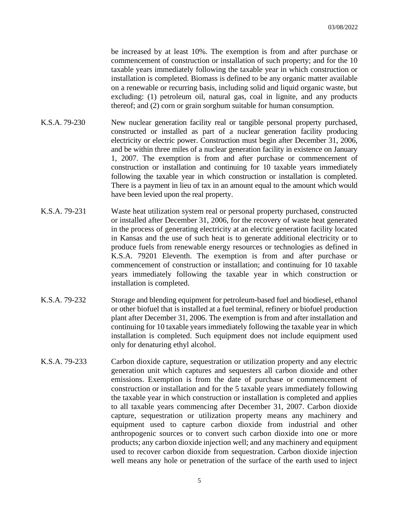be increased by at least 10%. The exemption is from and after purchase or commencement of construction or installation of such property; and for the 10 taxable years immediately following the taxable year in which construction or installation is completed. Biomass is defined to be any organic matter available on a renewable or recurring basis, including solid and liquid organic waste, but excluding: (1) petroleum oil, natural gas, coal in lignite, and any products thereof; and (2) corn or grain sorghum suitable for human consumption.

- K.S.A. 79-230 New nuclear generation facility real or tangible personal property purchased, constructed or installed as part of a nuclear generation facility producing electricity or electric power. Construction must begin after December 31, 2006, and be within three miles of a nuclear generation facility in existence on January 1, 2007. The exemption is from and after purchase or commencement of construction or installation and continuing for 10 taxable years immediately following the taxable year in which construction or installation is completed. There is a payment in lieu of tax in an amount equal to the amount which would have been levied upon the real property.
- K.S.A. 79-231 Waste heat utilization system real or personal property purchased, constructed or installed after December 31, 2006, for the recovery of waste heat generated in the process of generating electricity at an electric generation facility located in Kansas and the use of such heat is to generate additional electricity or to produce fuels from renewable energy resources or technologies as defined in K.S.A. 79201 Eleventh. The exemption is from and after purchase or commencement of construction or installation; and continuing for 10 taxable years immediately following the taxable year in which construction or installation is completed.
- K.S.A. 79-232 Storage and blending equipment for petroleum-based fuel and biodiesel, ethanol or other biofuel that is installed at a fuel terminal, refinery or biofuel production plant after December 31, 2006. The exemption is from and after installation and continuing for 10 taxable years immediately following the taxable year in which installation is completed. Such equipment does not include equipment used only for denaturing ethyl alcohol.
- K.S.A. 79-233 Carbon dioxide capture, sequestration or utilization property and any electric generation unit which captures and sequesters all carbon dioxide and other emissions. Exemption is from the date of purchase or commencement of construction or installation and for the 5 taxable years immediately following the taxable year in which construction or installation is completed and applies to all taxable years commencing after December 31, 2007. Carbon dioxide capture, sequestration or utilization property means any machinery and equipment used to capture carbon dioxide from industrial and other anthropogenic sources or to convert such carbon dioxide into one or more products; any carbon dioxide injection well; and any machinery and equipment used to recover carbon dioxide from sequestration. Carbon dioxide injection well means any hole or penetration of the surface of the earth used to inject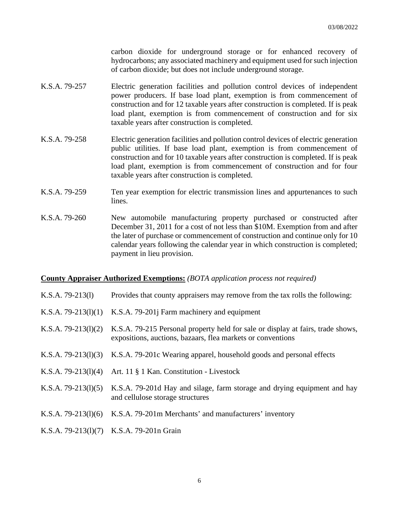carbon dioxide for underground storage or for enhanced recovery of hydrocarbons; any associated machinery and equipment used for such injection of carbon dioxide; but does not include underground storage.

- K.S.A. 79-257 Electric generation facilities and pollution control devices of independent power producers. If base load plant, exemption is from commencement of construction and for 12 taxable years after construction is completed. If is peak load plant, exemption is from commencement of construction and for six taxable years after construction is completed.
- K.S.A. 79-258 Electric generation facilities and pollution control devices of electric generation public utilities. If base load plant, exemption is from commencement of construction and for 10 taxable years after construction is completed. If is peak load plant, exemption is from commencement of construction and for four taxable years after construction is completed.
- K.S.A. 79-259 Ten year exemption for electric transmission lines and appurtenances to such lines.
- K.S.A. 79-260 New automobile manufacturing property purchased or constructed after December 31, 2011 for a cost of not less than \$10M. Exemption from and after the later of purchase or commencement of construction and continue only for 10 calendar years following the calendar year in which construction is completed; payment in lieu provision.

#### **County Appraiser Authorized Exemptions:** *(BOTA application process not required)*

- K.S.A. 79-213(l) Provides that county appraisers may remove from the tax rolls the following:
- K.S.A. 79-213(l)(1) K.S.A. 79-201j Farm machinery and equipment
- K.S.A. 79-213(1)(2) K.S.A. 79-215 Personal property held for sale or display at fairs, trade shows, expositions, auctions, bazaars, flea markets or conventions
- K.S.A. 79-213(l)(3) K.S.A. 79-201c Wearing apparel, household goods and personal effects
- K.S.A. 79-213(l)(4) Art. 11 § 1 Kan. Constitution Livestock
- K.S.A. 79-213(1)(5) K.S.A. 79-201d Hay and silage, farm storage and drying equipment and hay and cellulose storage structures
- K.S.A. 79-213(l)(6) K.S.A. 79-201m Merchants' and manufacturers' inventory

#### K.S.A. 79-213(l)(7) K.S.A. 79-201n Grain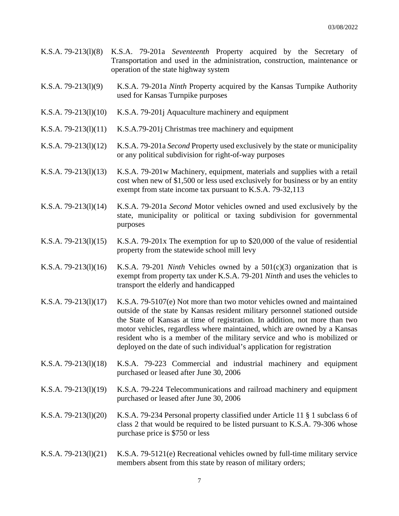- K.S.A. 79-213(l)(8) K.S.A. 79-201a *Seventeenth* Property acquired by the Secretary of Transportation and used in the administration, construction, maintenance or operation of the state highway system
- K.S.A. 79-213(l)(9) K.S.A. 79-201a *Ninth* Property acquired by the Kansas Turnpike Authority used for Kansas Turnpike purposes
- K.S.A. 79-213(1)(10) K.S.A. 79-201 jAquaculture machinery and equipment
- K.S.A. 79-213(1)(11) K.S.A.79-201 Christmas tree machinery and equipment
- K.S.A. 79-213(l)(12) K.S.A. 79-201a *Second* Property used exclusively by the state or municipality or any political subdivision for right-of-way purposes
- K.S.A. 79-213(l)(13) K.S.A. 79-201w Machinery, equipment, materials and supplies with a retail cost when new of \$1,500 or less used exclusively for business or by an entity exempt from state income tax pursuant to K.S.A. 79-32,113
- K.S.A. 79-213(l)(14) K.S.A. 79-201a *Second* Motor vehicles owned and used exclusively by the state, municipality or political or taxing subdivision for governmental purposes
- K.S.A. 79-213(1)(15) K.S.A. 79-201x The exemption for up to \$20,000 of the value of residential property from the statewide school mill levy
- K.S.A. 79-213(l)(16) K.S.A. 79-201 *Ninth* Vehicles owned by a 501(c)(3) organization that is exempt from property tax under K.S.A. 79-201 *Ninth* and uses the vehicles to transport the elderly and handicapped
- K.S.A. 79-213(l)(17) K.S.A. 79-5107(e) Not more than two motor vehicles owned and maintained outside of the state by Kansas resident military personnel stationed outside the State of Kansas at time of registration. In addition, not more than two motor vehicles, regardless where maintained, which are owned by a Kansas resident who is a member of the military service and who is mobilized or deployed on the date of such individual's application for registration
- K.S.A. 79-213(l)(18) K.S.A. 79-223 Commercial and industrial machinery and equipment purchased or leased after June 30, 2006
- K.S.A. 79-213(l)(19) K.S.A. 79-224 Telecommunications and railroad machinery and equipment purchased or leased after June 30, 2006
- K.S.A. 79-213(l)(20) K.S.A. 79-234 Personal property classified under Article 11 § 1 subclass 6 of class 2 that would be required to be listed pursuant to K.S.A. 79-306 whose purchase price is \$750 or less
- K.S.A. 79-213(l)(21) K.S.A. 79-5121(e) Recreational vehicles owned by full-time military service members absent from this state by reason of military orders;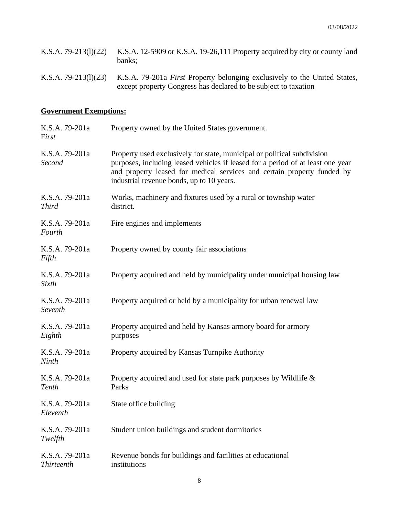| K.S.A. 79-213(1)(22) K.S.A. 12-5909 or K.S.A. 19-26,111 Property acquired by city or county land<br>banks: |
|------------------------------------------------------------------------------------------------------------|
| K.S.A. 79-213(1)(23) K.S.A. 79-201a First Property belonging exclusively to the United States,             |

except property Congress has declared to be subject to taxation

# **Government Exemptions:**

| K.S.A. 79-201a<br>First             | Property owned by the United States government.                                                                                                                                                                                                                                    |
|-------------------------------------|------------------------------------------------------------------------------------------------------------------------------------------------------------------------------------------------------------------------------------------------------------------------------------|
| K.S.A. 79-201a<br>Second            | Property used exclusively for state, municipal or political subdivision<br>purposes, including leased vehicles if leased for a period of at least one year<br>and property leased for medical services and certain property funded by<br>industrial revenue bonds, up to 10 years. |
| K.S.A. 79-201a<br><b>Third</b>      | Works, machinery and fixtures used by a rural or township water<br>district.                                                                                                                                                                                                       |
| K.S.A. 79-201a<br>Fourth            | Fire engines and implements                                                                                                                                                                                                                                                        |
| K.S.A. 79-201a<br>Fifth             | Property owned by county fair associations                                                                                                                                                                                                                                         |
| K.S.A. 79-201a<br>Sixth             | Property acquired and held by municipality under municipal housing law                                                                                                                                                                                                             |
| K.S.A. 79-201a<br>Seventh           | Property acquired or held by a municipality for urban renewal law                                                                                                                                                                                                                  |
| K.S.A. 79-201a<br>Eighth            | Property acquired and held by Kansas armory board for armory<br>purposes                                                                                                                                                                                                           |
| K.S.A. 79-201a<br>Ninth             | Property acquired by Kansas Turnpike Authority                                                                                                                                                                                                                                     |
| K.S.A. 79-201a<br>Tenth             | Property acquired and used for state park purposes by Wildlife &<br>Parks                                                                                                                                                                                                          |
| K.S.A. 79-201a<br>Eleventh          | State office building                                                                                                                                                                                                                                                              |
| K.S.A. 79-201a<br>Twelfth           | Student union buildings and student dormitories                                                                                                                                                                                                                                    |
| K.S.A. 79-201a<br><b>Thirteenth</b> | Revenue bonds for buildings and facilities at educational<br>institutions                                                                                                                                                                                                          |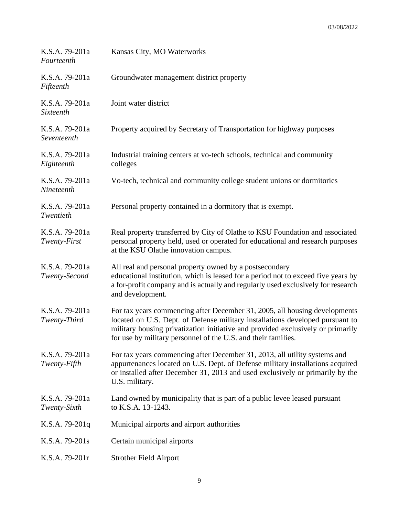| K.S.A. 79-201a<br>Fourteenth    | Kansas City, MO Waterworks                                                                                                                                                                                                                                                                                      |
|---------------------------------|-----------------------------------------------------------------------------------------------------------------------------------------------------------------------------------------------------------------------------------------------------------------------------------------------------------------|
| K.S.A. 79-201a<br>Fifteenth     | Groundwater management district property                                                                                                                                                                                                                                                                        |
| K.S.A. 79-201a<br>Sixteenth     | Joint water district                                                                                                                                                                                                                                                                                            |
| K.S.A. 79-201a<br>Seventeenth   | Property acquired by Secretary of Transportation for highway purposes                                                                                                                                                                                                                                           |
| K.S.A. 79-201a<br>Eighteenth    | Industrial training centers at vo-tech schools, technical and community<br>colleges                                                                                                                                                                                                                             |
| K.S.A. 79-201a<br>Nineteenth    | Vo-tech, technical and community college student unions or dormitories                                                                                                                                                                                                                                          |
| K.S.A. 79-201a<br>Twentieth     | Personal property contained in a dormitory that is exempt.                                                                                                                                                                                                                                                      |
| K.S.A. 79-201a<br>Twenty-First  | Real property transferred by City of Olathe to KSU Foundation and associated<br>personal property held, used or operated for educational and research purposes<br>at the KSU Olathe innovation campus.                                                                                                          |
| K.S.A. 79-201a<br>Twenty-Second | All real and personal property owned by a postsecondary<br>educational institution, which is leased for a period not to exceed five years by<br>a for-profit company and is actually and regularly used exclusively for research<br>and development.                                                            |
| K.S.A. 79-201a<br>Twenty-Third  | For tax years commencing after December 31, 2005, all housing developments<br>located on U.S. Dept. of Defense military installations developed pursuant to<br>military housing privatization initiative and provided exclusively or primarily<br>for use by military personnel of the U.S. and their families. |
| K.S.A. 79-201a<br>Twenty-Fifth  | For tax years commencing after December 31, 2013, all utility systems and<br>appurtenances located on U.S. Dept. of Defense military installations acquired<br>or installed after December 31, 2013 and used exclusively or primarily by the<br>U.S. military.                                                  |
| K.S.A. 79-201a<br>Twenty-Sixth  | Land owned by municipality that is part of a public levee leased pursuant<br>to K.S.A. 13-1243.                                                                                                                                                                                                                 |
| K.S.A. 79-201q                  | Municipal airports and airport authorities                                                                                                                                                                                                                                                                      |
| K.S.A. 79-201s                  | Certain municipal airports                                                                                                                                                                                                                                                                                      |
| K.S.A. 79-201r                  | <b>Strother Field Airport</b>                                                                                                                                                                                                                                                                                   |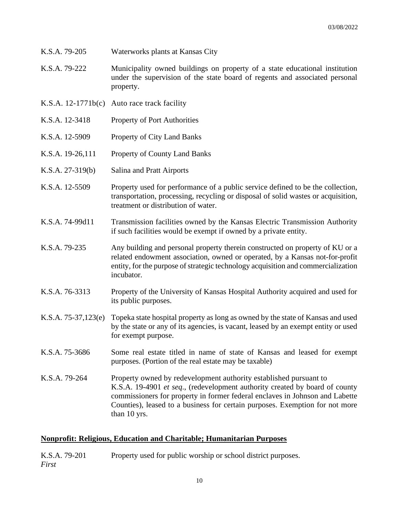- K.S.A. 79-205 Waterworks plants at Kansas City
- K.S.A. 79-222 Municipality owned buildings on property of a state educational institution under the supervision of the state board of regents and associated personal property.
- K.S.A. 12-1771b(c) Auto race track facility
- K.S.A. 12-3418 Property of Port Authorities
- K.S.A. 12-5909 Property of City Land Banks
- K.S.A. 19-26,111 Property of County Land Banks
- K.S.A. 27-319(b) Salina and Pratt Airports
- K.S.A. 12-5509 Property used for performance of a public service defined to be the collection, transportation, processing, recycling or disposal of solid wastes or acquisition, treatment or distribution of water.
- K.S.A. 74-99d11 Transmission facilities owned by the Kansas Electric Transmission Authority if such facilities would be exempt if owned by a private entity.
- K.S.A. 79-235 Any building and personal property therein constructed on property of KU or a related endowment association, owned or operated, by a Kansas not-for-profit entity, for the purpose of strategic technology acquisition and commercialization incubator.
- K.S.A. 76-3313 Property of the University of Kansas Hospital Authority acquired and used for its public purposes.
- K.S.A. 75-37,123(e) Topeka state hospital property as long as owned by the state of Kansas and used by the state or any of its agencies, is vacant, leased by an exempt entity or used for exempt purpose.
- K.S.A. 75-3686 Some real estate titled in name of state of Kansas and leased for exempt purposes. (Portion of the real estate may be taxable)
- K.S.A. 79-264 Property owned by redevelopment authority established pursuant to K.S.A. 19-4901 *et seq*., (redevelopment authority created by board of county commissioners for property in former federal enclaves in Johnson and Labette Counties), leased to a business for certain purposes. Exemption for not more than 10 yrs.

#### **Nonprofit: Religious, Education and Charitable; Humanitarian Purposes**

K.S.A. 79-201 Property used for public worship or school district purposes. *First*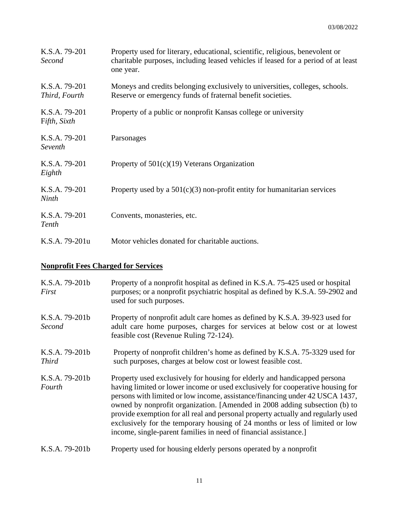| K.S.A. 79-201<br>Second        | Property used for literary, educational, scientific, religious, benevolent or<br>charitable purposes, including leased vehicles if leased for a period of at least<br>one year. |
|--------------------------------|---------------------------------------------------------------------------------------------------------------------------------------------------------------------------------|
| K.S.A. 79-201<br>Third, Fourth | Moneys and credits belonging exclusively to universities, colleges, schools.<br>Reserve or emergency funds of fraternal benefit societies.                                      |
| K.S.A. 79-201<br>Fifth, Sixth  | Property of a public or nonprofit Kansas college or university                                                                                                                  |
| K.S.A. 79-201<br>Seventh       | Parsonages                                                                                                                                                                      |
| K.S.A. 79-201<br>Eighth        | Property of $501(c)(19)$ Veterans Organization                                                                                                                                  |
| K.S.A. 79-201<br>Ninth         | Property used by a $501(c)(3)$ non-profit entity for humanitarian services                                                                                                      |
| K.S.A. 79-201<br>Tenth         | Convents, monasteries, etc.                                                                                                                                                     |
| K.S.A. 79-201u                 | Motor vehicles donated for charitable auctions.                                                                                                                                 |

# **Nonprofit Fees Charged for Services**

| K.S.A. 79-201b<br>First        | Property of a nonprofit hospital as defined in K.S.A. 75-425 used or hospital<br>purposes; or a nonprofit psychiatric hospital as defined by K.S.A. 59-2902 and<br>used for such purposes.                                                                                                                                                                                                                                                                                                                                                                       |
|--------------------------------|------------------------------------------------------------------------------------------------------------------------------------------------------------------------------------------------------------------------------------------------------------------------------------------------------------------------------------------------------------------------------------------------------------------------------------------------------------------------------------------------------------------------------------------------------------------|
| K.S.A. 79-201b<br>Second       | Property of nonprofit adult care homes as defined by K.S.A. 39-923 used for<br>adult care home purposes, charges for services at below cost or at lowest<br>feasible cost (Revenue Ruling 72-124).                                                                                                                                                                                                                                                                                                                                                               |
| K.S.A. 79-201b<br><b>Third</b> | Property of nonprofit children's home as defined by K.S.A. 75-3329 used for<br>such purposes, charges at below cost or lowest feasible cost.                                                                                                                                                                                                                                                                                                                                                                                                                     |
| K.S.A. 79-201b<br>Fourth       | Property used exclusively for housing for elderly and handicapped persona<br>having limited or lower income or used exclusively for cooperative housing for<br>persons with limited or low income, assistance/financing under 42 USCA 1437,<br>owned by nonprofit organization. [Amended in 2008 adding subsection (b) to<br>provide exemption for all real and personal property actually and regularly used<br>exclusively for the temporary housing of 24 months or less of limited or low<br>income, single-parent families in need of financial assistance. |
| K.S.A. 79-201b                 | Property used for housing elderly persons operated by a nonprofit                                                                                                                                                                                                                                                                                                                                                                                                                                                                                                |